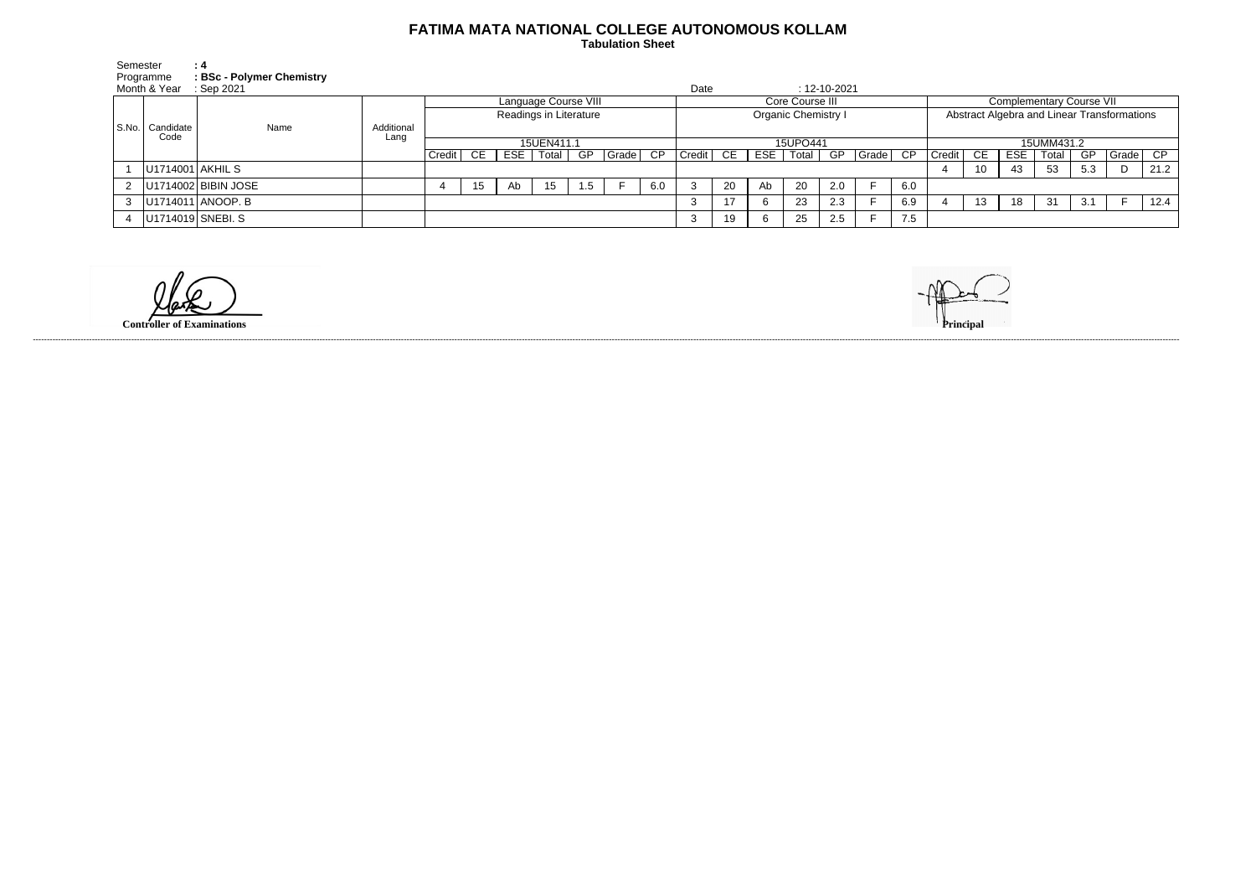## **FATIMA MATA NATIONAL COLLEGE AUTONOMOUS KOLLAM**

 **Tabulation Sheet** 

| Semester | : 4                                         |      |                    |                        |    |    |               |     |          |                            |                            |    |     |       |     |          |                                             |            |    |            |       |     |       |      |
|----------|---------------------------------------------|------|--------------------|------------------------|----|----|---------------|-----|----------|----------------------------|----------------------------|----|-----|-------|-----|----------|---------------------------------------------|------------|----|------------|-------|-----|-------|------|
|          | Programme<br><b>BSc - Polymer Chemistry</b> |      |                    |                        |    |    |               |     |          |                            |                            |    |     |       |     |          |                                             |            |    |            |       |     |       |      |
|          | Month & Year<br>$\therefore$ Sep 2021       |      |                    |                        |    |    |               |     |          |                            | Date<br>$: 12 - 10 - 2021$ |    |     |       |     |          |                                             |            |    |            |       |     |       |      |
|          |                                             |      | Additional<br>Lang | Language Course VIII   |    |    |               |     |          | Core Course III            |                            |    |     |       |     |          | <b>Complementary Course VII</b>             |            |    |            |       |     |       |      |
|          |                                             |      |                    | Readings in Literature |    |    |               |     |          | <b>Organic Chemistry I</b> |                            |    |     |       |     |          | Abstract Algebra and Linear Transformations |            |    |            |       |     |       |      |
|          | S.No.   Candidate<br>Code                   | Name |                    |                        |    |    |               |     |          |                            |                            |    |     |       |     |          |                                             |            |    |            |       |     |       |      |
|          |                                             |      |                    | 15UEN411.1             |    |    |               |     |          |                            | 15UPO441                   |    |     |       |     |          |                                             | 15UMM431.2 |    |            |       |     |       |      |
|          |                                             |      |                    | $Credit$ $C E$         |    |    | $ESE$   Total | GP  | Grade CP |                            | Credit                     | CE | ESE | Total | GP  | Grade CP |                                             | Credit     | CE | <b>ESE</b> | Total | GP  | Grade | CP   |
|          | U1714001 AKHIL S                            |      |                    |                        |    |    |               |     |          |                            |                            |    |     |       |     |          |                                             |            | 10 | 43         | 53    | 5.3 | D     | 21.2 |
|          | 2   U1714002   BIBIN JOSE                   |      |                    |                        | 15 | Ab | 15            | 1.5 |          | 6.0                        |                            | 20 | Ab  | 20    | 2.0 |          | 6.0                                         |            |    |            |       |     |       |      |
|          | 3   U1714011   ANOOP. B                     |      |                    |                        |    |    |               |     |          |                            |                            | 17 |     | 23    | 2.3 |          | 6.9                                         |            | 13 | 18         | 31    | 3.1 |       | 12.4 |
| 4        | U1714019 SNEBI. S                           |      |                    |                        |    |    |               |     |          |                            | -3                         | 19 |     | 25    | 2.5 |          | 7.5                                         |            |    |            |       |     |       |      |
|          |                                             |      |                    |                        |    |    |               |     |          |                            |                            |    |     |       |     |          |                                             |            |    |            |       |     |       |      |

**Controller of Examinations** 



------------------------------------------------------------------------------------------------------------------------------------------------------------------------------------------------------------------------------------------------------------------------------------------------------------------------------------------------------------------------------------------------------------------------